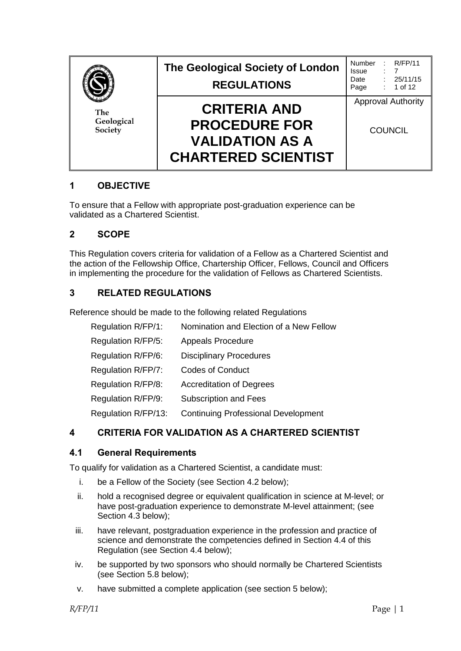| The<br>Geological<br>Society | The Geological Society of London<br><b>REGULATIONS</b>                                              | Number<br>Issue<br>Date<br>Page             | R/FP/11<br>$\therefore$ 7<br>: 25/11/15<br>$: 1$ of 12 |
|------------------------------|-----------------------------------------------------------------------------------------------------|---------------------------------------------|--------------------------------------------------------|
|                              | <b>CRITERIA AND</b><br><b>PROCEDURE FOR</b><br><b>VALIDATION AS A</b><br><b>CHARTERED SCIENTIST</b> | <b>Approval Authority</b><br><b>COUNCIL</b> |                                                        |

## **1 OBJECTIVE**

To ensure that a Fellow with appropriate post-graduation experience can be validated as a Chartered Scientist.

## **2 SCOPE**

This Regulation covers criteria for validation of a Fellow as a Chartered Scientist and the action of the Fellowship Office, Chartership Officer, Fellows, Council and Officers in implementing the procedure for the validation of Fellows as Chartered Scientists.

# **3 RELATED REGULATIONS**

Reference should be made to the following related Regulations

| Regulation R/FP/1:  | Nomination and Election of a New Fellow    |
|---------------------|--------------------------------------------|
| Regulation R/FP/5:  | <b>Appeals Procedure</b>                   |
| Regulation R/FP/6:  | <b>Disciplinary Procedures</b>             |
| Regulation R/FP/7:  | <b>Codes of Conduct</b>                    |
| Regulation R/FP/8:  | <b>Accreditation of Degrees</b>            |
| Regulation R/FP/9:  | <b>Subscription and Fees</b>               |
| Regulation R/FP/13: | <b>Continuing Professional Development</b> |

# **4 CRITERIA FOR VALIDATION AS A CHARTERED SCIENTIST**

## **4.1 General Requirements**

To qualify for validation as a Chartered Scientist, a candidate must:

- i. be a Fellow of the Society (see Section 4.2 below);
- ii. hold a recognised degree or equivalent qualification in science at M-level; or have post-graduation experience to demonstrate M-level attainment; (see Section 4.3 below);
- iii. have relevant, postgraduation experience in the profession and practice of science and demonstrate the competencies defined in Section 4.4 of this Regulation (see Section 4.4 below);
- iv. be supported by two sponsors who should normally be Chartered Scientists (see Section 5.8 below);
- v. have submitted a complete application (see section 5 below);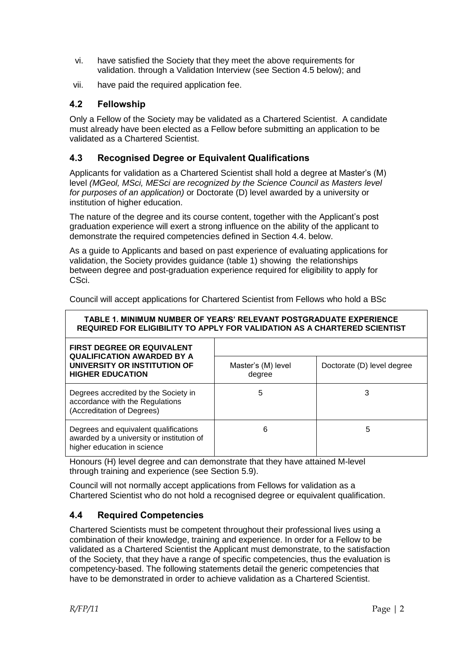- vi. have satisfied the Society that they meet the above requirements for validation. through a Validation Interview (see Section 4.5 below); and
- vii. have paid the required application fee.

# **4.2 Fellowship**

Only a Fellow of the Society may be validated as a Chartered Scientist. A candidate must already have been elected as a Fellow before submitting an application to be validated as a Chartered Scientist.

## **4.3 Recognised Degree or Equivalent Qualifications**

Applicants for validation as a Chartered Scientist shall hold a degree at Master's (M) level *(MGeol, MSci, MESci are recognized by the Science Council as Masters level for purposes of an application)* or Doctorate (D) level awarded by a university or institution of higher education.

The nature of the degree and its course content, together with the Applicant's post graduation experience will exert a strong influence on the ability of the applicant to demonstrate the required competencies defined in Section 4.4. below.

As a guide to Applicants and based on past experience of evaluating applications for validation, the Society provides guidance (table 1) showing the relationships between degree and post-graduation experience required for eligibility to apply for CSci.

| TABLE 1. MINIMUM NUMBER OF YEARS' RELEVANT POSTGRADUATE EXPERIENCE<br>REQUIRED FOR ELIGIBILITY TO APPLY FOR VALIDATION AS A CHARTERED SCIENTIST |                              |                            |  |  |  |
|-------------------------------------------------------------------------------------------------------------------------------------------------|------------------------------|----------------------------|--|--|--|
| <b>FIRST DEGREE OR EQUIVALENT</b><br><b>QUALIFICATION AWARDED BY A</b>                                                                          |                              |                            |  |  |  |
| UNIVERSITY OR INSTITUTION OF<br><b>HIGHER EDUCATION</b>                                                                                         | Master's (M) level<br>degree | Doctorate (D) level degree |  |  |  |
| Degrees accredited by the Society in<br>accordance with the Regulations<br>(Accreditation of Degrees)                                           | 5                            | 3                          |  |  |  |
| Degrees and equivalent qualifications<br>awarded by a university or institution of<br>higher education in science                               | 6                            | 5                          |  |  |  |

Council will accept applications for Chartered Scientist from Fellows who hold a BSc

Honours (H) level degree and can demonstrate that they have attained M-level through training and experience (see Section 5.9).

Council will not normally accept applications from Fellows for validation as a Chartered Scientist who do not hold a recognised degree or equivalent qualification.

# **4.4 Required Competencies**

Chartered Scientists must be competent throughout their professional lives using a combination of their knowledge, training and experience. In order for a Fellow to be validated as a Chartered Scientist the Applicant must demonstrate, to the satisfaction of the Society, that they have a range of specific competencies, thus the evaluation is competency-based. The following statements detail the generic competencies that have to be demonstrated in order to achieve validation as a Chartered Scientist.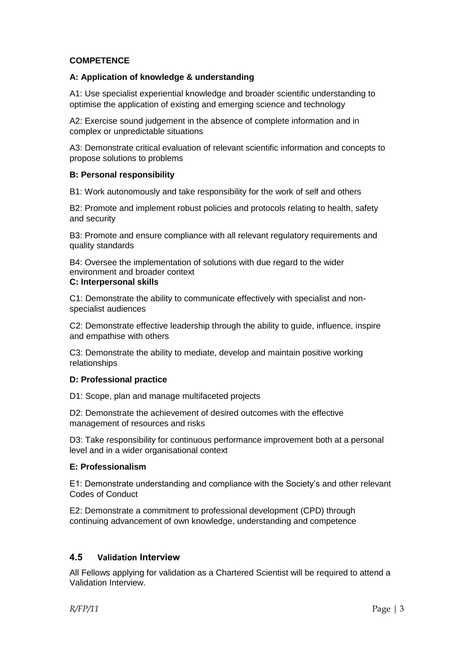## **COMPETENCE**

### **A: Application of knowledge & understanding**

A1: Use specialist experiential knowledge and broader scientific understanding to optimise the application of existing and emerging science and technology

A2: Exercise sound judgement in the absence of complete information and in complex or unpredictable situations

A3: Demonstrate critical evaluation of relevant scientific information and concepts to propose solutions to problems

#### **B: Personal responsibility**

B1: Work autonomously and take responsibility for the work of self and others

B2: Promote and implement robust policies and protocols relating to health, safety and security

B3: Promote and ensure compliance with all relevant regulatory requirements and quality standards

B4: Oversee the implementation of solutions with due regard to the wider environment and broader context

#### **C: Interpersonal skills**

C1: Demonstrate the ability to communicate effectively with specialist and nonspecialist audiences

C2: Demonstrate effective leadership through the ability to guide, influence, inspire and empathise with others

C3: Demonstrate the ability to mediate, develop and maintain positive working relationships

#### **D: Professional practice**

D1: Scope, plan and manage multifaceted projects

D2: Demonstrate the achievement of desired outcomes with the effective management of resources and risks

D3: Take responsibility for continuous performance improvement both at a personal level and in a wider organisational context

#### **E: Professionalism**

E1: Demonstrate understanding and compliance with the Society's and other relevant Codes of Conduct

E2: Demonstrate a commitment to professional development (CPD) through continuing advancement of own knowledge, understanding and competence

#### **4.5 Validation Interview**

All Fellows applying for validation as a Chartered Scientist will be required to attend a Validation Interview.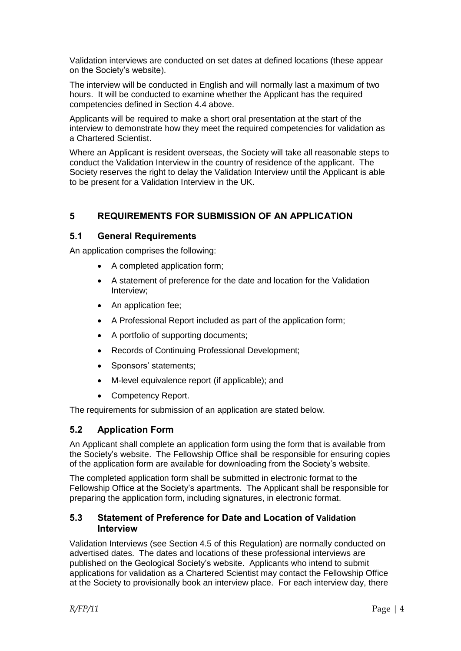Validation interviews are conducted on set dates at defined locations (these appear on the Society's website).

The interview will be conducted in English and will normally last a maximum of two hours. It will be conducted to examine whether the Applicant has the required competencies defined in Section 4.4 above.

Applicants will be required to make a short oral presentation at the start of the interview to demonstrate how they meet the required competencies for validation as a Chartered Scientist.

Where an Applicant is resident overseas, the Society will take all reasonable steps to conduct the Validation Interview in the country of residence of the applicant. The Society reserves the right to delay the Validation Interview until the Applicant is able to be present for a Validation Interview in the UK.

# **5 REQUIREMENTS FOR SUBMISSION OF AN APPLICATION**

## **5.1 General Requirements**

An application comprises the following:

- A completed application form;
- A statement of preference for the date and location for the Validation Interview;
- An application fee;
- A Professional Report included as part of the application form;
- A portfolio of supporting documents;
- Records of Continuing Professional Development;
- Sponsors' statements;
- M-level equivalence report (if applicable); and
- Competency Report.

The requirements for submission of an application are stated below.

## **5.2 Application Form**

An Applicant shall complete an application form using the form that is available from the Society's website. The Fellowship Office shall be responsible for ensuring copies of the application form are available for downloading from the Society's website.

The completed application form shall be submitted in electronic format to the Fellowship Office at the Society's apartments. The Applicant shall be responsible for preparing the application form, including signatures, in electronic format.

## **5.3 Statement of Preference for Date and Location of Validation Interview**

Validation Interviews (see Section 4.5 of this Regulation) are normally conducted on advertised dates. The dates and locations of these professional interviews are published on the Geological Society's website. Applicants who intend to submit applications for validation as a Chartered Scientist may contact the Fellowship Office at the Society to provisionally book an interview place. For each interview day, there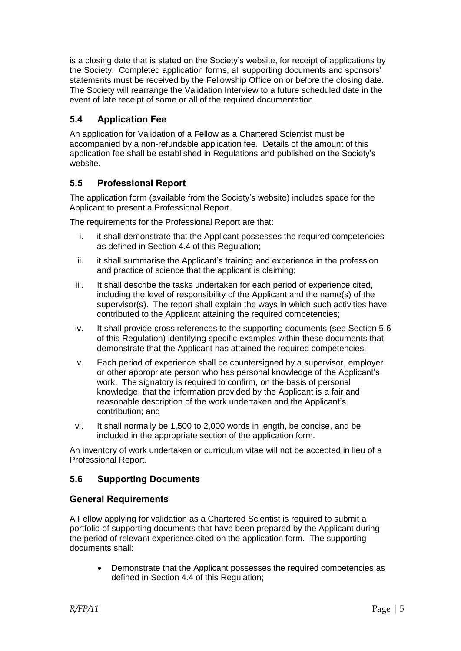is a closing date that is stated on the Society's website, for receipt of applications by the Society. Completed application forms, all supporting documents and sponsors' statements must be received by the Fellowship Office on or before the closing date. The Society will rearrange the Validation Interview to a future scheduled date in the event of late receipt of some or all of the required documentation.

## **5.4 Application Fee**

An application for Validation of a Fellow as a Chartered Scientist must be accompanied by a non-refundable application fee. Details of the amount of this application fee shall be established in Regulations and published on the Society's website.

## **5.5 Professional Report**

The application form (available from the Society's website) includes space for the Applicant to present a Professional Report.

The requirements for the Professional Report are that:

- i. it shall demonstrate that the Applicant possesses the required competencies as defined in Section 4.4 of this Regulation;
- ii. it shall summarise the Applicant's training and experience in the profession and practice of science that the applicant is claiming;
- iii. It shall describe the tasks undertaken for each period of experience cited, including the level of responsibility of the Applicant and the name(s) of the supervisor(s). The report shall explain the ways in which such activities have contributed to the Applicant attaining the required competencies;
- iv. It shall provide cross references to the supporting documents (see Section 5.6 of this Regulation) identifying specific examples within these documents that demonstrate that the Applicant has attained the required competencies;
- v. Each period of experience shall be countersigned by a supervisor, employer or other appropriate person who has personal knowledge of the Applicant's work. The signatory is required to confirm, on the basis of personal knowledge, that the information provided by the Applicant is a fair and reasonable description of the work undertaken and the Applicant's contribution; and
- vi. It shall normally be 1,500 to 2,000 words in length, be concise, and be included in the appropriate section of the application form.

An inventory of work undertaken or curriculum vitae will not be accepted in lieu of a Professional Report.

# **5.6 Supporting Documents**

#### **General Requirements**

A Fellow applying for validation as a Chartered Scientist is required to submit a portfolio of supporting documents that have been prepared by the Applicant during the period of relevant experience cited on the application form. The supporting documents shall:

 Demonstrate that the Applicant possesses the required competencies as defined in Section 4.4 of this Regulation;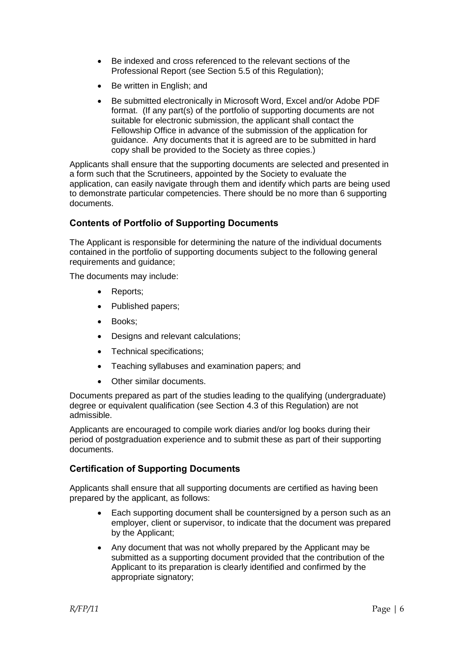- Be indexed and cross referenced to the relevant sections of the Professional Report (see Section 5.5 of this Regulation);
- Be written in English; and
- Be submitted electronically in Microsoft Word, Excel and/or Adobe PDF format. (If any part(s) of the portfolio of supporting documents are not suitable for electronic submission, the applicant shall contact the Fellowship Office in advance of the submission of the application for guidance. Any documents that it is agreed are to be submitted in hard copy shall be provided to the Society as three copies.)

Applicants shall ensure that the supporting documents are selected and presented in a form such that the Scrutineers, appointed by the Society to evaluate the application, can easily navigate through them and identify which parts are being used to demonstrate particular competencies. There should be no more than 6 supporting documents.

# **Contents of Portfolio of Supporting Documents**

The Applicant is responsible for determining the nature of the individual documents contained in the portfolio of supporting documents subject to the following general requirements and guidance;

The documents may include:

- Reports;
- Published papers;
- Books:
- Designs and relevant calculations;
- Technical specifications;
- Teaching syllabuses and examination papers; and
- Other similar documents.

Documents prepared as part of the studies leading to the qualifying (undergraduate) degree or equivalent qualification (see Section 4.3 of this Regulation) are not admissible.

Applicants are encouraged to compile work diaries and/or log books during their period of postgraduation experience and to submit these as part of their supporting documents.

## **Certification of Supporting Documents**

Applicants shall ensure that all supporting documents are certified as having been prepared by the applicant, as follows:

- Each supporting document shall be countersigned by a person such as an employer, client or supervisor, to indicate that the document was prepared by the Applicant;
- Any document that was not wholly prepared by the Applicant may be submitted as a supporting document provided that the contribution of the Applicant to its preparation is clearly identified and confirmed by the appropriate signatory;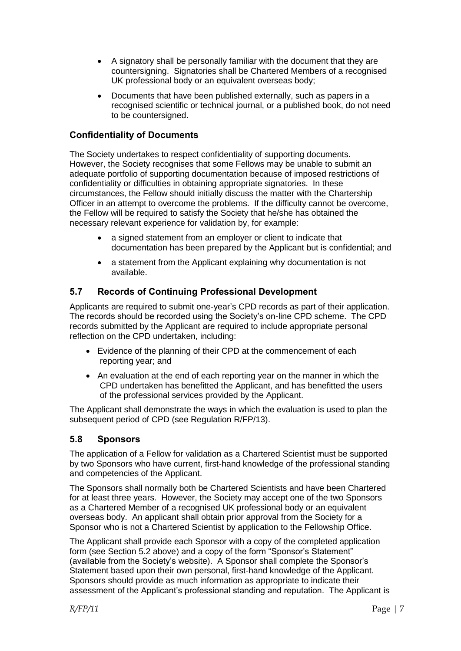- A signatory shall be personally familiar with the document that they are countersigning. Signatories shall be Chartered Members of a recognised UK professional body or an equivalent overseas body;
- Documents that have been published externally, such as papers in a recognised scientific or technical journal, or a published book, do not need to be countersigned.

## **Confidentiality of Documents**

The Society undertakes to respect confidentiality of supporting documents. However, the Society recognises that some Fellows may be unable to submit an adequate portfolio of supporting documentation because of imposed restrictions of confidentiality or difficulties in obtaining appropriate signatories. In these circumstances, the Fellow should initially discuss the matter with the Chartership Officer in an attempt to overcome the problems. If the difficulty cannot be overcome, the Fellow will be required to satisfy the Society that he/she has obtained the necessary relevant experience for validation by, for example:

- a signed statement from an employer or client to indicate that documentation has been prepared by the Applicant but is confidential; and
- a statement from the Applicant explaining why documentation is not available.

## **5.7 Records of Continuing Professional Development**

Applicants are required to submit one-year's CPD records as part of their application. The records should be recorded using the Society's on-line CPD scheme. The CPD records submitted by the Applicant are required to include appropriate personal reflection on the CPD undertaken, including:

- Evidence of the planning of their CPD at the commencement of each reporting year; and
- An evaluation at the end of each reporting year on the manner in which the CPD undertaken has benefitted the Applicant, and has benefitted the users of the professional services provided by the Applicant.

The Applicant shall demonstrate the ways in which the evaluation is used to plan the subsequent period of CPD (see Regulation R/FP/13).

## **5.8 Sponsors**

The application of a Fellow for validation as a Chartered Scientist must be supported by two Sponsors who have current, first-hand knowledge of the professional standing and competencies of the Applicant.

The Sponsors shall normally both be Chartered Scientists and have been Chartered for at least three years. However, the Society may accept one of the two Sponsors as a Chartered Member of a recognised UK professional body or an equivalent overseas body. An applicant shall obtain prior approval from the Society for a Sponsor who is not a Chartered Scientist by application to the Fellowship Office.

The Applicant shall provide each Sponsor with a copy of the completed application form (see Section 5.2 above) and a copy of the form "Sponsor's Statement" (available from the Society's website). A Sponsor shall complete the Sponsor's Statement based upon their own personal, first-hand knowledge of the Applicant. Sponsors should provide as much information as appropriate to indicate their assessment of the Applicant's professional standing and reputation. The Applicant is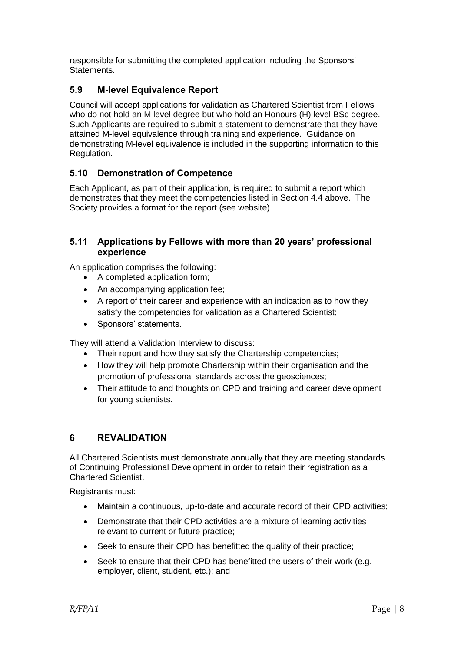responsible for submitting the completed application including the Sponsors' Statements.

# **5.9 M-level Equivalence Report**

Council will accept applications for validation as Chartered Scientist from Fellows who do not hold an M level degree but who hold an Honours (H) level BSc degree. Such Applicants are required to submit a statement to demonstrate that they have attained M-level equivalence through training and experience. Guidance on demonstrating M-level equivalence is included in the supporting information to this Regulation.

## **5.10 Demonstration of Competence**

Each Applicant, as part of their application, is required to submit a report which demonstrates that they meet the competencies listed in Section 4.4 above. The Society provides a format for the report (see website)

## **5.11 Applications by Fellows with more than 20 years' professional experience**

An application comprises the following:

- A completed application form;
- An accompanying application fee;
- A report of their career and experience with an indication as to how they satisfy the competencies for validation as a Chartered Scientist;
- Sponsors' statements.

They will attend a Validation Interview to discuss:

- Their report and how they satisfy the Chartership competencies;
- How they will help promote Chartership within their organisation and the promotion of professional standards across the geosciences;
- Their attitude to and thoughts on CPD and training and career development for young scientists.

## **6 REVALIDATION**

All Chartered Scientists must demonstrate annually that they are meeting standards of Continuing Professional Development in order to retain their registration as a Chartered Scientist.

Registrants must:

- Maintain a continuous, up-to-date and accurate record of their CPD activities;
- Demonstrate that their CPD activities are a mixture of learning activities relevant to current or future practice;
- Seek to ensure their CPD has benefitted the quality of their practice;
- Seek to ensure that their CPD has benefitted the users of their work (e.g. employer, client, student, etc.); and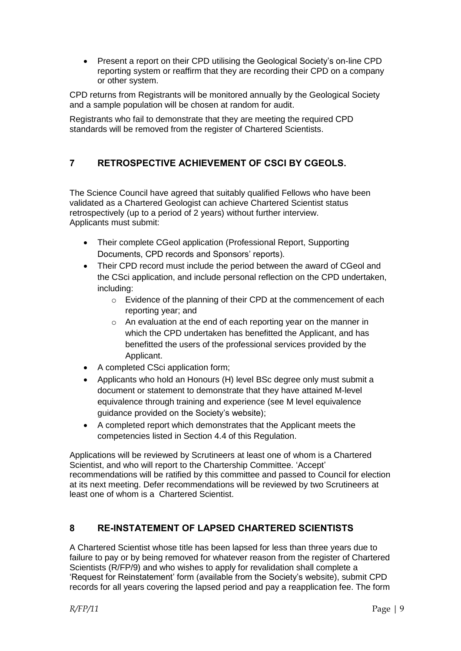• Present a report on their CPD utilising the Geological Society's on-line CPD reporting system or reaffirm that they are recording their CPD on a company or other system.

CPD returns from Registrants will be monitored annually by the Geological Society and a sample population will be chosen at random for audit.

Registrants who fail to demonstrate that they are meeting the required CPD standards will be removed from the register of Chartered Scientists.

# **7 RETROSPECTIVE ACHIEVEMENT OF CSCI BY CGEOLS.**

The Science Council have agreed that suitably qualified Fellows who have been validated as a Chartered Geologist can achieve Chartered Scientist status retrospectively (up to a period of 2 years) without further interview. Applicants must submit:

- Their complete CGeol application (Professional Report, Supporting Documents, CPD records and Sponsors' reports).
- Their CPD record must include the period between the award of CGeol and the CSci application, and include personal reflection on the CPD undertaken, including:
	- o Evidence of the planning of their CPD at the commencement of each reporting year; and
	- o An evaluation at the end of each reporting year on the manner in which the CPD undertaken has benefitted the Applicant, and has benefitted the users of the professional services provided by the Applicant.
- A completed CSci application form;
- Applicants who hold an Honours (H) level BSc degree only must submit a document or statement to demonstrate that they have attained M-level equivalence through training and experience (see M level equivalence guidance provided on the Society's website);
- A completed report which demonstrates that the Applicant meets the competencies listed in Section 4.4 of this Regulation.

Applications will be reviewed by Scrutineers at least one of whom is a Chartered Scientist, and who will report to the Chartership Committee. 'Accept' recommendations will be ratified by this committee and passed to Council for election at its next meeting. Defer recommendations will be reviewed by two Scrutineers at least one of whom is a Chartered Scientist.

# **8 RE-INSTATEMENT OF LAPSED CHARTERED SCIENTISTS**

A Chartered Scientist whose title has been lapsed for less than three years due to failure to pay or by being removed for whatever reason from the register of Chartered Scientists (R/FP/9) and who wishes to apply for revalidation shall complete a 'Request for Reinstatement' form (available from the Society's website), submit CPD records for all years covering the lapsed period and pay a reapplication fee. The form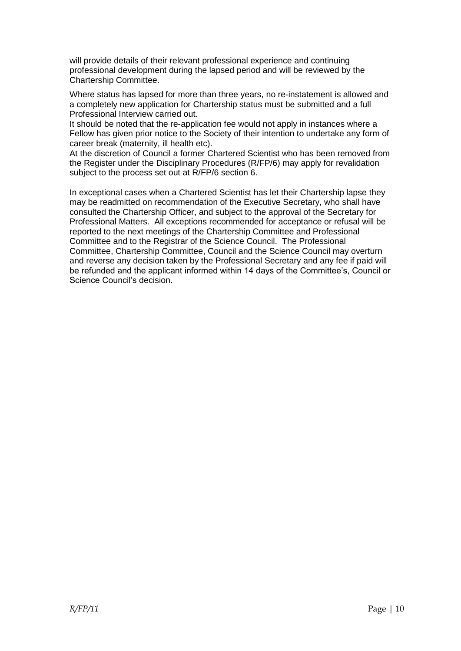will provide details of their relevant professional experience and continuing professional development during the lapsed period and will be reviewed by the Chartership Committee.

Where status has lapsed for more than three years, no re-instatement is allowed and a completely new application for Chartership status must be submitted and a full Professional Interview carried out.

It should be noted that the re-application fee would not apply in instances where a Fellow has given prior notice to the Society of their intention to undertake any form of career break (maternity, ill health etc).

At the discretion of Council a former Chartered Scientist who has been removed from the Register under the Disciplinary Procedures (R/FP/6) may apply for revalidation subject to the process set out at R/FP/6 section 6.

In exceptional cases when a Chartered Scientist has let their Chartership lapse they may be readmitted on recommendation of the Executive Secretary, who shall have consulted the Chartership Officer, and subject to the approval of the Secretary for Professional Matters. All exceptions recommended for acceptance or refusal will be reported to the next meetings of the Chartership Committee and Professional Committee and to the Registrar of the Science Council. The Professional Committee, Chartership Committee, Council and the Science Council may overturn and reverse any decision taken by the Professional Secretary and any fee if paid will be refunded and the applicant informed within 14 days of the Committee's, Council or Science Council's decision.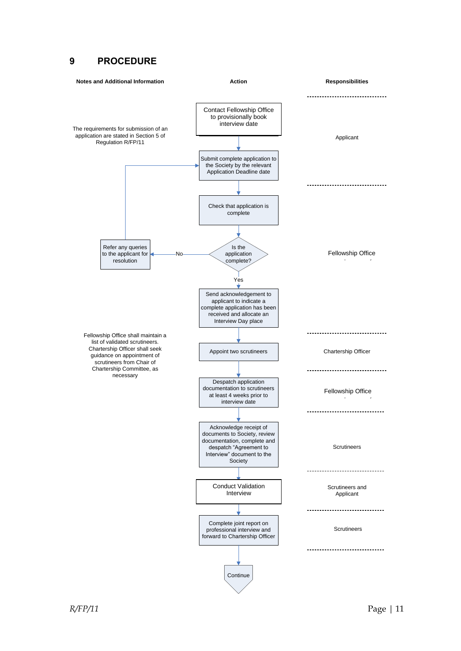#### **9 PROCEDURE**